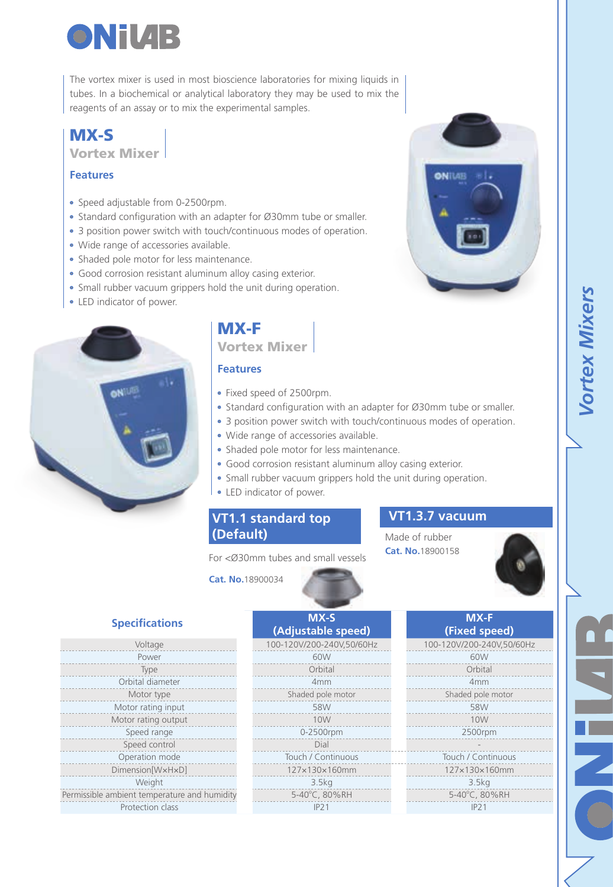

The vortex mixer is used in most bioscience laboratories for mixing liquids in tubes. In a biochemical or analytical laboratory they may be used to mix the reagents of an assay or to mix the experimental samples.

### MX-S Vortex Mixer

#### **Features**

- Speed adjustable from 0-2500rpm.
- Standard configuration with an adapter for Ø30mm tube or smaller.
- 3 position power switch with touch/continuous modes of operation.
- Wide range of accessories available.
- Shaded pole motor for less maintenance.
- Good corrosion resistant aluminum alloy casing exterior.
- Small rubber vacuum grippers hold the unit during operation.
- LED indicator of power.



# MX-F Vortex Mixer

#### **Features**

- Fixed speed of 2500rpm.
- Standard configuration with an adapter for Ø30mm tube or smaller.
- 3 position power switch with touch/continuous modes of operation.
- Wide range of accessories available.
- Shaded pole motor for less maintenance.
- Good corrosion resistant aluminum alloy casing exterior.
- Small rubber vacuum grippers hold the unit during operation.
- LED indicator of power.

### **VT1.1 standard top (Default)**

**Cat. No.**18900034

For <Ø30mm tubes and small vessels

## **VT1.3.7 vacuum**

ONILAE

Made of rubber **Cat. No.**18900158





### **Specifications**

| Voltage                                      | 100-120V/200-240V,50/60Hz | 100-120V/200-2        |
|----------------------------------------------|---------------------------|-----------------------|
| Power                                        | 60W                       | 60 <sub>W</sub>       |
| Type                                         | Orbital                   | Orbit                 |
| Orbital diameter                             | 4 <sub>mm</sub>           | 4 <sub>mn</sub>       |
| Motor type                                   | Shaded pole motor         | Shaded pol            |
| Motor rating input                           | 58W                       | 58 <sub>W</sub>       |
| Motor rating output                          | 10W                       | <b>10W</b>            |
| Speed range                                  | 0-2500rpm                 | 2500r                 |
| Speed control                                | Dial                      |                       |
| Operation mode                               | Touch / Continuous        | Touch / Cor           |
| Dimension[WxHxD]                             | 127×130×160mm             | $127\times130\times$  |
| Weight                                       | 3.5kg                     | 3.5k                  |
| Permissible ambient temperature and humidity | 5-40°C, 80%RH             | $5 - 40^{\circ}$ C, 8 |
| Protection class                             | IP21                      | IP21                  |

| <b>Specifications</b>           | MX-S<br>(Adjustable speed) | MX-F<br>(Fixed speed)     |  |  |  |
|---------------------------------|----------------------------|---------------------------|--|--|--|
| Voltage                         | 100-120V/200-240V.50/60Hz  | 100-120V/200-240V.50/60Hz |  |  |  |
| Power                           | 60W                        | 60W                       |  |  |  |
| Type                            | Orbital                    | Orbital                   |  |  |  |
| Orbital diameter                | 4mm                        | 4mm                       |  |  |  |
| Motor type                      | Shaded pole motor          | Shaded pole motor         |  |  |  |
| Motor rating input              | 58W                        | 58W                       |  |  |  |
| Motor rating output             | 10W                        | 10W                       |  |  |  |
| Speed range                     | 0-2500rpm                  | 2500rpm                   |  |  |  |
| Speed control                   | Dial                       |                           |  |  |  |
| Operation mode                  | Touch / Continuous         | Touch / Continuous        |  |  |  |
| Dimension[WxHxD]                | 127×130×160mm              | 127×130×160mm             |  |  |  |
| Weight                          | 3.5kg                      | 3.5kg                     |  |  |  |
| mbient temperature and humidity | 5-40°C, 80%RH              | 5-40°C, 80%RH             |  |  |  |
| Protection class                | IP21                       | IP21                      |  |  |  |

| MX-F                      |
|---------------------------|
| (Fixed speed)             |
| 100-120V/200-240V,50/60Hz |
| 60W                       |
| Orbital                   |
| 4 <sub>mm</sub>           |
| Shaded pole motor         |
| 58W                       |
| 10W                       |
| 2500rpm                   |
|                           |
| Touch / Continuous        |
| 127×130×160mm             |
| 3 5km                     |

 $5 - 40^{\circ}$ C, 80%RH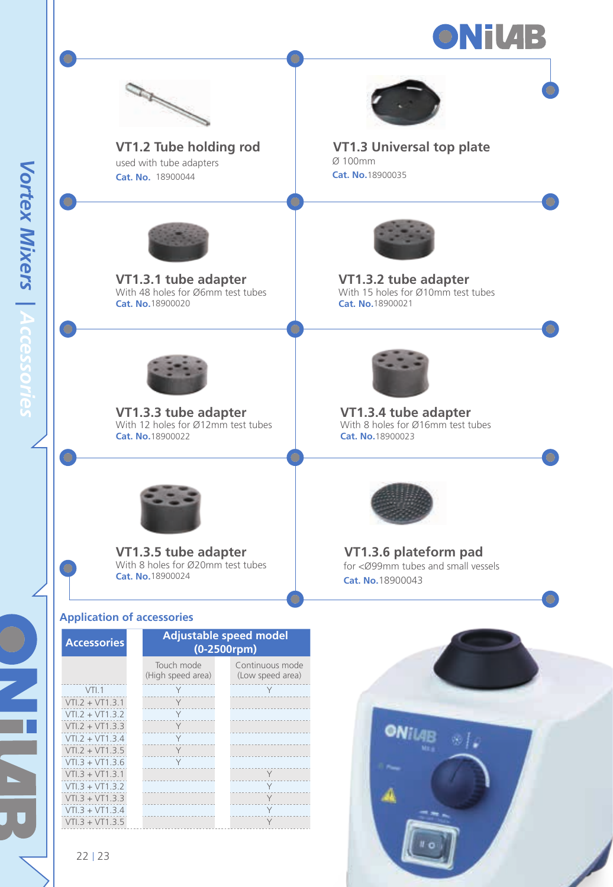



**VT1.2 Tube holding rod** used with tube adapters **Cat. No.** 18900044

**VT1.3.1 tube adapter** With 48 holes for Ø6mm test tubes



**VT1.3 Universal top plate** Ø 100mm **Cat. No.**18900035



**VT1.3.2 tube adapter**<br>With 15 holes for Ø10mm test tubes **Cat. No.**18900021



**Cat. No.**18900020

**VT1.3.3 tube adapter** With 12 holes for Ø12mm test tubes **Cat. No.**18900022



**VT1.3.4 tube adapter** With 8 holes for Ø16mm test tubes **Cat. No.**18900023



**VT1.3.5 tube adapter** With 8 holes for Ø20mm test tubes **Cat. No.**18900024

### **Application of accessories**

| <b>Accessories</b> | <b>Adjustable speed model</b><br>$(0-2500$ rpm $)$ |                                     |  |  |
|--------------------|----------------------------------------------------|-------------------------------------|--|--|
|                    | Touch mode<br>(High speed area)                    | Continuous mode<br>(Low speed area) |  |  |
| VTI.1              | Υ                                                  | Y                                   |  |  |
| $VT1.2 + VT1.3.1$  | Υ                                                  |                                     |  |  |
| $VT1.2 + VT1.3.2$  | Y                                                  |                                     |  |  |
| $VT1.2 + VT1.3.3$  | Y                                                  |                                     |  |  |
| $VT1.2 + VT1.3.4$  | Y                                                  |                                     |  |  |
| $VT1.2 + VT1.3.5$  | Y                                                  |                                     |  |  |
| $VT1.3 + VT1.3.6$  | Y                                                  |                                     |  |  |
| $VT1.3 + VT1.3.1$  |                                                    | Υ                                   |  |  |
| $VT1.3 + VT1.3.2$  |                                                    | Y                                   |  |  |
| $VT1.3 + VT1.3.3$  |                                                    | Y                                   |  |  |
| $VTI.3 + VT1.3.4$  |                                                    | Y                                   |  |  |
| $VT1.3 + VT1.3.5$  |                                                    | Y                                   |  |  |



**VT1.3.6 plateform pad** for <Ø99mm tubes and small vessels **Cat. No.**18900043